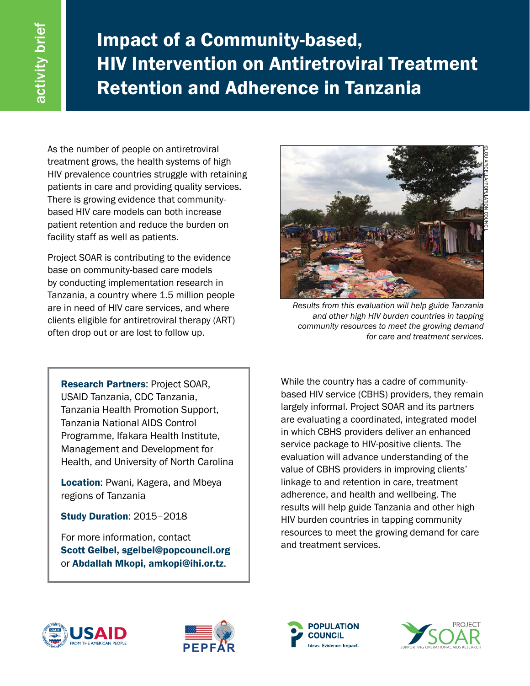Impact of a Community-based, HIV Intervention on Antiretroviral Treatment Retention and Adherence in Tanzania

As the number of people on antiretroviral treatment grows, the health systems of high HIV prevalence countries struggle with retaining patients in care and providing quality services. There is growing evidence that communitybased HIV care models can both increase patient retention and reduce the burden on facility staff as well as patients.

Project SOAR is contributing to the evidence base on community-based care models by conducting implementation research in Tanzania, a country where 1.5 million people are in need of HIV care services, and where clients eligible for antiretroviral therapy (ART) often drop out or are lost to follow up.



*Results from this evaluation will help guide Tanzania and other high HIV burden countries in tapping community resources to meet the growing demand for care and treatment services.* 

Research Partners: Project SOAR, USAID Tanzania, CDC Tanzania, Tanzania Health Promotion Support, Tanzania National AIDS Control Programme, Ifakara Health Institute, Management and Development for Health, and University of North Carolina

Location: Pwani, Kagera, and Mbeya regions of Tanzania

Study Duration: 2015–2018

For more information, contact Scott Geibel, sgeibel@popcouncil.org or Abdallah Mkopi, amkopi@ihi.or.tz.

While the country has a cadre of communitybased HIV service (CBHS) providers, they remain largely informal. Project SOAR and its partners are evaluating a coordinated, integrated model in which CBHS providers deliver an enhanced service package to HIV-positive clients. The evaluation will advance understanding of the value of CBHS providers in improving clients' linkage to and retention in care, treatment adherence, and health and wellbeing. The results will help guide Tanzania and other high HIV burden countries in tapping community resources to meet the growing demand for care and treatment services.